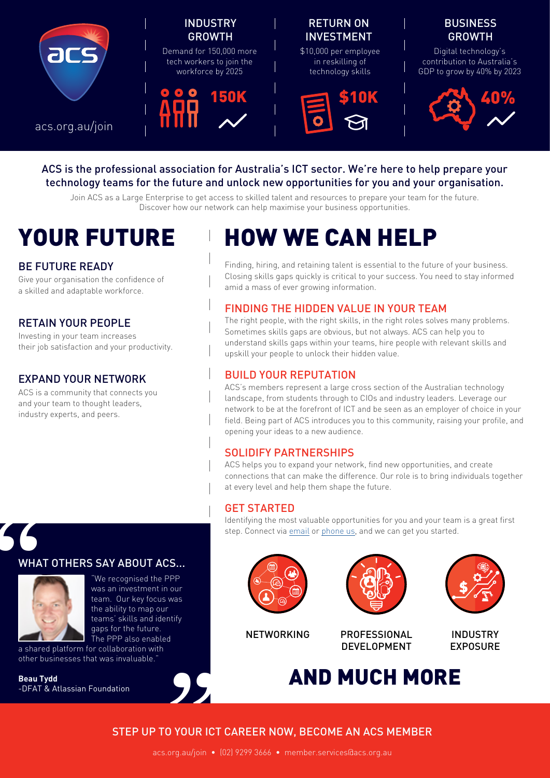

#### ACS is the professional association for Australia's ICT sector. We're here to help prepare your technology teams for the future and unlock new opportunities for you and your organisation.

Join ACS as a Large Enterprise to get access to skilled talent and resources to prepare your team for the future. Discover how our network can help maximise your business opportunities.

#### BE FUTURE READY

Give your organisation the confidence of a skilled and adaptable workforce.

# RETAIN YOUR PEOPLE

Investing in your team increases their job satisfaction and your productivity.

### EXPAND YOUR NETWORK

ACS is a community that connects you and your team to thought leaders, industry experts, and peers.

# YOUR FUTURE HOW WE CAN HELP

Finding, hiring, and retaining talent is essential to the future of your business. Closing skills gaps quickly is critical to your success. You need to stay informed amid a mass of ever growing information.

# FINDING THE HIDDEN VALUE IN YOUR TEAM

The right people, with the right skills, in the right roles solves many problems. Sometimes skills gaps are obvious, but not always. ACS can help you to understand skills gaps within your teams, hire people with relevant skills and upskill your people to unlock their hidden value.

#### BUILD YOUR REPUTATION

ACS's members represent a large cross section of the Australian technology landscape, from students through to CIOs and industry leaders. Leverage our network to be at the forefront of ICT and be seen as an employer of choice in your field. Being part of ACS introduces you to this community, raising your profile, and opening your ideas to a new audience.

# SOLIDIFY PARTNERSHIPS

ACS helps you to expand your network, find new opportunities, and create connections that can make the difference. Our role is to bring individuals together at every level and help them shape the future.

#### GET STARTED

Identifying the most valuable opportunities for you and your team is a great first step. Connect via [email](mailto:mailto:member.services%40acs.org.au?subject=) or [phone us](https://www.acs.org.au/contact-us.html), and we can get you started.

# WHAT OTHERS SAY ABOUT ACS...



"

tify<br> **S** "We recognised the PPP was an investment in our team. Our key focus was the ability to map our teams' skills and identify gaps for the future. The PPP also enabled

a shared platform for collaboration with other businesses that was invaluable.

**Beau Tydd** -DFAT & Atlassian Foundation









**PROFESSIONAL** DEVELOPMENT

INDUSTRY EXPOSURE

AND MUCH MORE

# STEP UP TO YOUR ICT CAREER NOW, BECOME AN ACS MEMBER